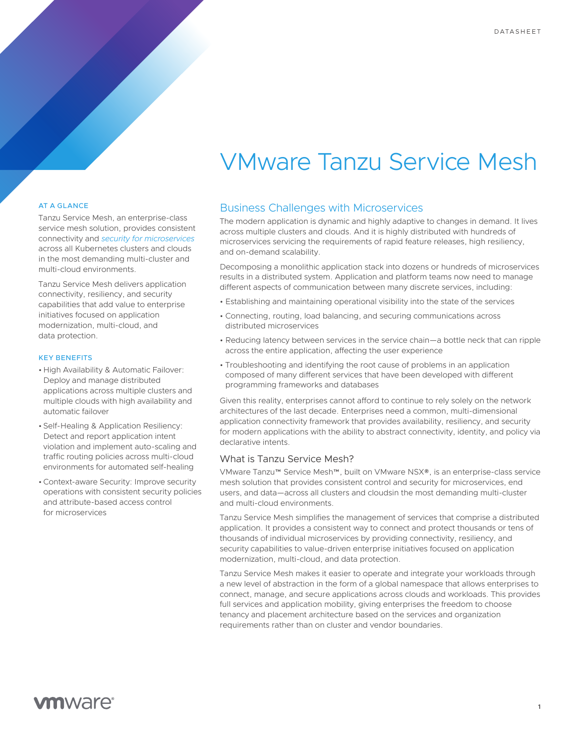# VMware Tanzu Service Mesh

#### AT A GLANCE

Tanzu Service Mesh, an enterprise-class service mesh solution, provides consistent connectivity and *[security for microservices](https://www.vmware.com/solutions/container-networking.html)* across all Kubernetes clusters and clouds in the most demanding multi-cluster and multi-cloud environments.

Tanzu Service Mesh delivers application connectivity, resiliency, and security capabilities that add value to enterprise initiatives focused on application modernization, multi-cloud, and data protection.

#### KEY BENEFITS

- High Availability & Automatic Failover: Deploy and manage distributed applications across multiple clusters and multiple clouds with high availability and automatic failover
- Self-Healing & Application Resiliency: Detect and report application intent violation and implement auto-scaling and traffic routing policies across multi-cloud environments for automated self-healing
- •Context-aware Security: Improve security operations with consistent security policies and attribute-based access control for microservices

# Business Challenges with Microservices

The modern application is dynamic and highly adaptive to changes in demand. It lives across multiple clusters and clouds. And it is highly distributed with hundreds of microservices servicing the requirements of rapid feature releases, high resiliency, and on-demand scalability.

Decomposing a monolithic application stack into dozens or hundreds of microservices results in a distributed system. Application and platform teams now need to manage different aspects of communication between many discrete services, including:

- Establishing and maintaining operational visibility into the state of the services
- Connecting, routing, load balancing, and securing communications across distributed microservices
- Reducing latency between services in the service chain—a bottle neck that can ripple across the entire application, affecting the user experience
- Troubleshooting and identifying the root cause of problems in an application composed of many different services that have been developed with different programming frameworks and databases

Given this reality, enterprises cannot afford to continue to rely solely on the network architectures of the last decade. Enterprises need a common, multi-dimensional application connectivity framework that provides availability, resiliency, and security for modern applications with the ability to abstract connectivity, identity, and policy via declarative intents.

#### What is Tanzu Service Mesh?

VMware Tanzu™ Service Mesh™, built on VMware NSX®, is an enterprise-class service mesh solution that provides consistent control and security for microservices, end users, and data—across all clusters and cloudsin the most demanding multi-cluster and multi-cloud environments.

Tanzu Service Mesh simplifies the management of services that comprise a distributed application. It provides a consistent way to connect and protect thousands or tens of thousands of individual microservices by providing connectivity, resiliency, and security capabilities to value-driven enterprise initiatives focused on application modernization, multi-cloud, and data protection.

Tanzu Service Mesh makes it easier to operate and integrate your workloads through a new level of abstraction in the form of a global namespace that allows enterprises to connect, manage, and secure applications across clouds and workloads. This provides full services and application mobility, giving enterprises the freedom to choose tenancy and placement architecture based on the services and organization requirements rather than on cluster and vendor boundaries.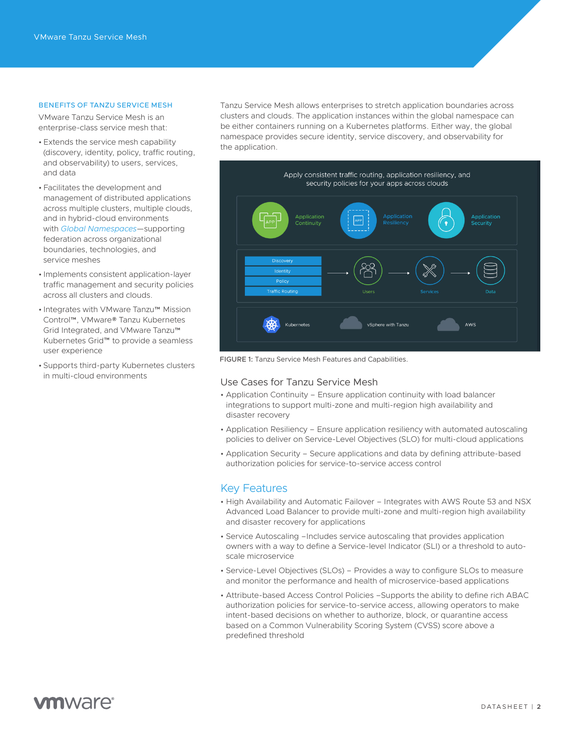#### BENEFITS OF TANZU SERVICE MESH

VMware Tanzu Service Mesh is an enterprise-class service mesh that:

- Extends the service mesh capability (discovery, identity, policy, traffic routing, and observability) to users, services, and data
- Facilitates the development and management of distributed applications across multiple clusters, multiple clouds, and in hybrid-cloud environments with *[Global Namespaces](https://docs.vmware.com/en/VMware-Tanzu-Service-Mesh/index.html)*—supporting federation across organizational boundaries, technologies, and service meshes
- Implements consistent application-layer traffic management and security policies across all clusters and clouds.
- Integrates with VMware Tanzu™ Mission Control™, VMware® Tanzu Kubernetes Grid Integrated, and VMware Tanzu™ Kubernetes Grid™ to provide a seamless user experience
- Supports third-party Kubernetes clusters in multi-cloud environments

Tanzu Service Mesh allows enterprises to stretch application boundaries across clusters and clouds. The application instances within the global namespace can be either containers running on a Kubernetes platforms. Either way, the global namespace provides secure identity, service discovery, and observability for the application.



FIGURE 1: Tanzu Service Mesh Features and Capabilities.

## Use Cases for Tanzu Service Mesh

- Application Continuity Ensure application continuity with load balancer integrations to support multi-zone and multi-region high availability and disaster recovery
- Application Resiliency Ensure application resiliency with automated autoscaling policies to deliver on Service-Level Objectives (SLO) for multi-cloud applications
- Application Security Secure applications and data by defining attribute-based authorization policies for service-to-service access control

### Key Features

- High Availability and Automatic Failover Integrates with AWS Route 53 and NSX Advanced Load Balancer to provide multi-zone and multi-region high availability and disaster recovery for applications
- Service Autoscaling –Includes service autoscaling that provides application owners with a way to define a Service-level Indicator (SLI) or a threshold to autoscale microservice
- Service-Level Objectives (SLOs) Provides a way to configure SLOs to measure and monitor the performance and health of microservice-based applications
- Attribute-based Access Control Policies –Supports the ability to define rich ABAC authorization policies for service-to-service access, allowing operators to make intent-based decisions on whether to authorize, block, or quarantine access based on a Common Vulnerability Scoring System (CVSS) score above a predefined threshold

# **vm**ware<sup>®</sup>